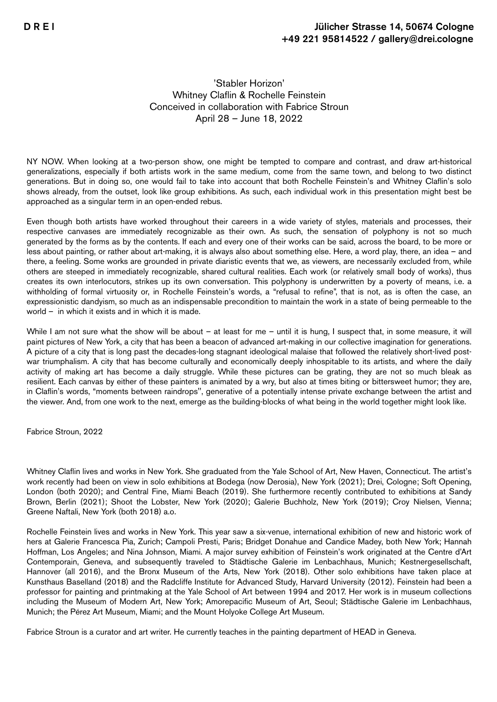'Stabler Horizon' Whitney Claflin & Rochelle Feinstein Conceived in collaboration with Fabrice Stroun April 28 – June 18, 2022

NY NOW. When looking at a two-person show, one might be tempted to compare and contrast, and draw art-historical generalizations, especially if both artists work in the same medium, come from the same town, and belong to two distinct generations. But in doing so, one would fail to take into account that both Rochelle Feinstein's and Whitney Claflin's solo shows already, from the outset, look like group exhibitions. As such, each individual work in this presentation might best be approached as a singular term in an open-ended rebus.

Even though both artists have worked throughout their careers in a wide variety of styles, materials and processes, their respective canvases are immediately recognizable as their own. As such, the sensation of polyphony is not so much generated by the forms as by the contents. If each and every one of their works can be said, across the board, to be more or less about painting, or rather about art-making, it is always also about something else. Here, a word play, there, an idea – and there, a feeling. Some works are grounded in private diaristic events that we, as viewers, are necessarily excluded from, while others are steeped in immediately recognizable, shared cultural realities. Each work (or relatively small body of works), thus creates its own interlocutors, strikes up its own conversation. This polyphony is underwritten by a poverty of means, i.e. a withholding of formal virtuosity or, in Rochelle Feinstein's words, a "refusal to refine", that is not, as is often the case, an expressionistic dandyism, so much as an indispensable precondition to maintain the work in a state of being permeable to the world – in which it exists and in which it is made.

While I am not sure what the show will be about – at least for me – until it is hung, I suspect that, in some measure, it will paint pictures of New York, a city that has been a beacon of advanced art-making in our collective imagination for generations. A picture of a city that is long past the decades-long stagnant ideological malaise that followed the relatively short-lived postwar triumphalism. A city that has become culturally and economically deeply inhospitable to its artists, and where the daily activity of making art has become a daily struggle. While these pictures can be grating, they are not so much bleak as resilient. Each canvas by either of these painters is animated by a wry, but also at times biting or bittersweet humor; they are, in Claflin's words, "moments between raindrops'', generative of a potentially intense private exchange between the artist and the viewer. And, from one work to the next, emerge as the building-blocks of what being in the world together might look like.

Fabrice Stroun, 2022

Whitney Claflin lives and works in New York. She graduated from the Yale School of Art, New Haven, Connecticut. The artist's work recently had been on view in solo exhibitions at Bodega (now Derosia), New York (2021); Drei, Cologne; Soft Opening, London (both 2020); and Central Fine, Miami Beach (2019). She furthermore recently contributed to exhibitions at Sandy Brown, Berlin (2021); Shoot the Lobster, New York (2020); Galerie Buchholz, New York (2019); Croy Nielsen, Vienna; Greene Naftali, New York (both 2018) a.o.

Rochelle Feinstein lives and works in New York. This year saw a six-venue, international exhibition of new and historic work of hers at Galerie Francesca Pia, Zurich; Campoli Presti, Paris; Bridget Donahue and Candice Madey, both New York; Hannah Hoffman, Los Angeles; and Nina Johnson, Miami. A major survey exhibition of Feinstein's work originated at the Centre d'Art Contemporain, Geneva, and subsequently traveled to Städtische Galerie im Lenbachhaus, Munich; Kestnergesellschaft, Hannover (all 2016), and the Bronx Museum of the Arts, New York (2018). Other solo exhibitions have taken place at Kunsthaus Baselland (2018) and the Radcliffe Institute for Advanced Study, Harvard University (2012). Feinstein had been a professor for painting and printmaking at the Yale School of Art between 1994 and 2017. Her work is in museum collections including the Museum of Modern Art, New York; Amorepacific Museum of Art, Seoul; Städtische Galerie im Lenbachhaus, Munich; the Pérez Art Museum, Miami; and the Mount Holyoke College Art Museum.

Fabrice Stroun is a curator and art writer. He currently teaches in the painting department of HEAD in Geneva.